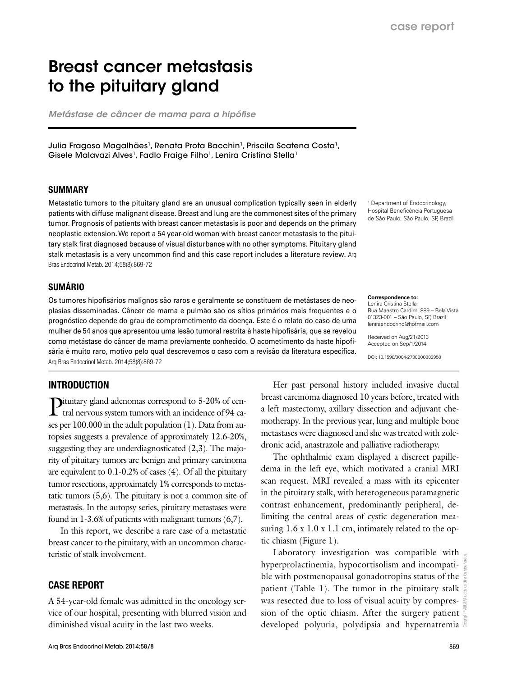# Breast cancer metastasis to the pituitary gland

*Metástase de câncer de mama para a hipófise*

Julia Fragoso Magalhães<sup>1</sup>, Renata Prota Bacchin<sup>1</sup>, Priscila Scatena Costa<sup>1</sup>, Gisele Malavazi Alves<sup>1</sup>, Fadlo Fraige Filho<sup>1</sup>, Lenira Cristina Stella<sup>1</sup>

#### SUMMARY

Metastatic tumors to the pituitary gland are an unusual complication typically seen in elderly patients with diffuse malignant disease. Breast and lung are the commonest sites of the primary tumor. Prognosis of patients with breast cancer metastasis is poor and depends on the primary neoplastic extension. We report a 54 year-old woman with breast cancer metastasis to the pituitary stalk first diagnosed because of visual disturbance with no other symptoms. Pituitary gland stalk metastasis is a very uncommon find and this case report includes a literature review. Arq Bras Endocrinol Metab. 2014;58(8):869-72

## SUMÁRIO

Os tumores hipofisários malignos são raros e geralmente se constituem de metástases de neoplasias disseminadas. Câncer de mama e pulmão são os sítios primários mais frequentes e o prognóstico depende do grau de comprometimento da doença. Este é o relato do caso de uma mulher de 54 anos que apresentou uma lesão tumoral restrita à haste hipofisária, que se revelou como metástase do câncer de mama previamente conhecido. O acometimento da haste hipofisária é muito raro, motivo pelo qual descrevemos o caso com a revisão da literatura específica. Arq Bras Endocrinol Metab. 2014;58(8):869-72

### INTRODUCTION

Pituitary gland adenomas correspond to 5-20% of cen-<br>tral nervous system to see the contract of the contract of the contract of the contract of the contract of the contract of the contract of the contract of the contract o tral nervous system tumors with an incidence of 94 cases per 100.000 in the adult population (1). Data from autopsies suggests a prevalence of approximately 12.6-20%, suggesting they are underdiagnosticated (2,3). The majority of pituitary tumors are benign and primary carcinoma are equivalent to 0.1-0.2% of cases (4). Of all the pituitary tumor resections, approximately 1% corresponds to metastatic tumors (5,6). The pituitary is not a common site of metastasis. In the autopsy series, pituitary metastases were found in 1-3.6% of patients with malignant tumors (6,7).

In this report, we describe a rare case of a metastatic breast cancer to the pituitary, with an uncommon characteristic of stalk involvement.

## CASE REPORT

A 54-year-old female was admitted in the oncology service of our hospital, presenting with blurred vision and diminished visual acuity in the last two weeks.

1 Department of Endocrinology, Hospital Beneficência Portuguesa de São Paulo, São Paulo, SP, Brazil

**Correspondence to:** Lenira Cristina Stella

Rua Maestro Cardim, 889 – Bela Vista 01323-001 – São Paulo, SP, Brazil leniraendocrino@hotmail.com

Received on Aug/21/2013 Accepted on Sep/1/2014

DOI: 10.1590/0004-2730000002950

Her past personal history included invasive ductal breast carcinoma diagnosed 10 years before, treated with a left mastectomy, axillary dissection and adjuvant chemotherapy. In the previous year, lung and multiple bone metastases were diagnosed and she was treated with zoledronic acid, anastrazole and palliative radiotherapy.

The ophthalmic exam displayed a discreet papilledema in the left eye, which motivated a cranial MRI scan request. MRI revealed a mass with its epicenter in the pituitary stalk, with heterogeneous paramagnetic contrast enhancement, predominantly peripheral, delimiting the central areas of cystic degeneration measuring 1.6 x 1.0 x 1.1 cm, intimately related to the optic chiasm (Figure 1).

Laboratory investigation was compatible with hyperprolactinemia, hypocortisolism and incompatible with postmenopausal gonadotropins status of the patient (Table 1). The tumor in the pituitary stalk was resected due to loss of visual acuity by compression of the optic chiasm. After the surgery patient developed polyuria, polydipsia and hypernatremia

Copyright© ABE&M todos os direitos reservados.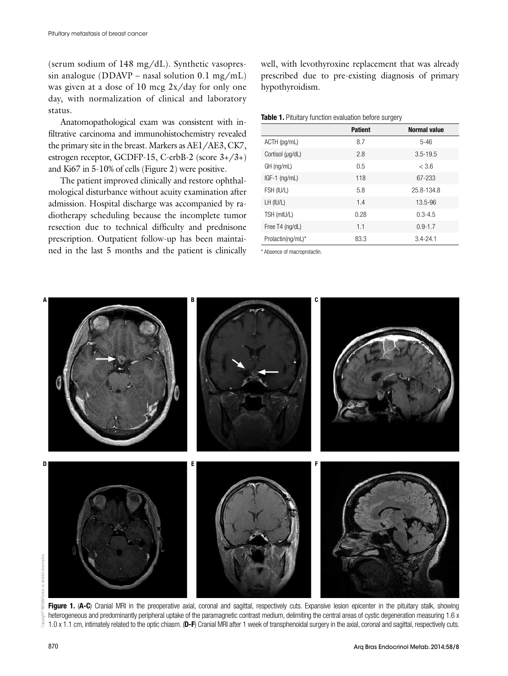(serum sodium of 148 mg/dL). Synthetic vasopressin analogue (DDAVP – nasal solution 0.1 mg/mL) was given at a dose of 10 mcg 2x/day for only one day, with normalization of clinical and laboratory status.

Anatomopathological exam was consistent with infiltrative carcinoma and immunohistochemistry revealed the primary site in the breast. Markers as AE1/AE3, CK7, estrogen receptor, GCDFP-15, C-erbB-2 (score 3+/3+) and Ki67 in 5-10% of cells (Figure 2) were positive.

The patient improved clinically and restore ophthalmological disturbance without acuity examination after admission. Hospital discharge was accompanied by radiotherapy scheduling because the incomplete tumor resection due to technical difficulty and prednisone prescription. Outpatient follow-up has been maintained in the last 5 months and the patient is clinically well, with levothyroxine replacement that was already prescribed due to pre-existing diagnosis of primary hypothyroidism.

Table 1. Pituitary function evaluation before surgery

|                   | <b>Patient</b> | <b>Normal value</b> |
|-------------------|----------------|---------------------|
| ACTH (pg/mL)      | 8.7            | $5 - 46$            |
| Cortisol (µg/dL)  | 2.8            | $3.5 - 19.5$        |
| GH (ng/mL)        | 0.5            | < 3.6               |
| $IGF-1$ (ng/mL)   | 118            | 67-233              |
| FSH (IU/L)        | 5.8            | 25.8-134.8          |
| LH (IU/L)         | 1.4            | 13.5-96             |
| TSH (mIU/L)       | 0.28           | $0.3 - 4.5$         |
| Free T4 (ng/dL)   | 1.1            | $0.9 - 1.7$         |
| Prolactin(ng/mL)* | 83.3           | $3.4 - 24.1$        |

\* Absence of macroprolactin.



Figure 1. (A-C) Cranial MRI in the preoperative axial, coronal and sagittal, respectively cuts. Expansive lesion epicenter in the pituitary stalk, showing heterogeneous and predominantly peripheral uptake of the paramagnetic contrast medium, delimiting the central areas of cystic degeneration measuring 1.6 x 1.0 x 1.1 cm, intimately related to the optic chiasm. (D-F) Cranial MRI after 1 week of transphenoidal surgery in the axial, coronal and sagittal, respectively cuts.

š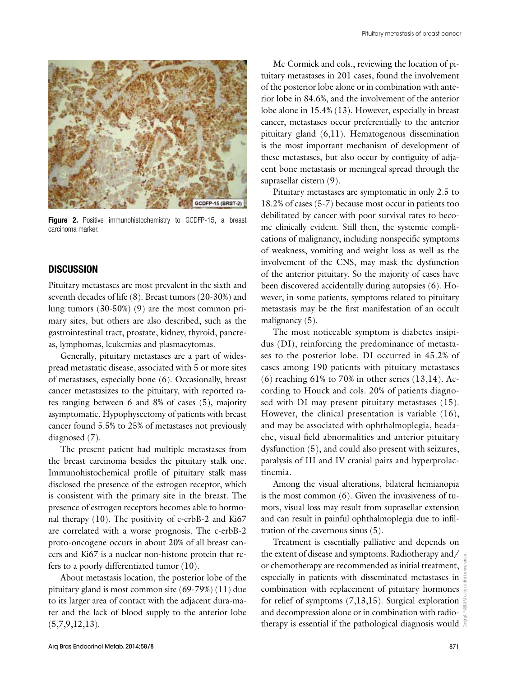

Figure 2. Positive immunohistochemistry to GCDFP-15, a breast carcinoma marker.

## **DISCUSSION**

Pituitary metastases are most prevalent in the sixth and seventh decades of life (8). Breast tumors (20-30%) and lung tumors (30-50%) (9) are the most common primary sites, but others are also described, such as the gastrointestinal tract, prostate, kidney, thyroid, pancreas, lymphomas, leukemias and plasmacytomas.

Generally, pituitary metastases are a part of widespread metastatic disease, associated with 5 or more sites of metastases, especially bone (6). Occasionally, breast cancer metastasizes to the pituitary, with reported rates ranging between 6 and 8% of cases (5), majority asymptomatic. Hypophysectomy of patients with breast cancer found 5.5% to 25% of metastases not previously diagnosed (7).

The present patient had multiple metastases from the breast carcinoma besides the pituitary stalk one. Immunohistochemical profile of pituitary stalk mass disclosed the presence of the estrogen receptor, which is consistent with the primary site in the breast. The presence of estrogen receptors becomes able to hormonal therapy (10). The positivity of c-erbB-2 and Ki67 are correlated with a worse prognosis. The c-erbB-2 proto-oncogene occurs in about 20% of all breast cancers and Ki67 is a nuclear non-histone protein that refers to a poorly differentiated tumor (10).

About metastasis location, the posterior lobe of the pituitary gland is most common site (69-79%) (11) due to its larger area of contact with the adjacent dura-mater and the lack of blood supply to the anterior lobe  $(5,7,9,12,13).$ 

Mc Cormick and cols*.*, reviewing the location of pituitary metastases in 201 cases, found the involvement of the posterior lobe alone or in combination with anterior lobe in 84.6%, and the involvement of the anterior lobe alone in 15.4% (13). However, especially in breast cancer, metastases occur preferentially to the anterior pituitary gland (6,11). Hematogenous dissemination is the most important mechanism of development of these metastases, but also occur by contiguity of adjacent bone metastasis or meningeal spread through the suprasellar cistern (9).

Pituitary metastases are symptomatic in only 2.5 to 18.2% of cases (5-7) because most occur in patients too debilitated by cancer with poor survival rates to become clinically evident. Still then, the systemic complications of malignancy, including nonspecific symptoms of weakness, vomiting and weight loss as well as the involvement of the CNS, may mask the dysfunction of the anterior pituitary. So the majority of cases have been discovered accidentally during autopsies (6). However, in some patients, symptoms related to pituitary metastasis may be the first manifestation of an occult malignancy  $(5)$ .

The most noticeable symptom is diabetes insipidus (DI), reinforcing the predominance of metastases to the posterior lobe. DI occurred in 45.2% of cases among 190 patients with pituitary metastases  $(6)$  reaching 61% to 70% in other series  $(13,14)$ . According to Houck and cols*.* 20% of patients diagnosed with DI may present pituitary metastases (15). However, the clinical presentation is variable (16), and may be associated with ophthalmoplegia, headache, visual field abnormalities and anterior pituitary dysfunction (5), and could also present with seizures, paralysis of III and IV cranial pairs and hyperprolactinemia.

Among the visual alterations, bilateral hemianopia is the most common (6). Given the invasiveness of tumors, visual loss may result from suprasellar extension and can result in painful ophthalmoplegia due to infiltration of the cavernous sinus (5).

Treatment is essentially palliative and depends on the extent of disease and symptoms. Radiotherapy and/  $\frac{1}{2}$ or chemotherapy are recommended as initial treatment, especially in patients with disseminated metastases in combination with replacement of pituitary hormones for relief of symptoms  $(7,13,15)$ . Surgical exploration and decompression alone or in combination with radiotherapy is essential if the pathological diagnosis would  $\frac{8}{3}$ 

Copyright© ABE&M todos os direitos reservados.